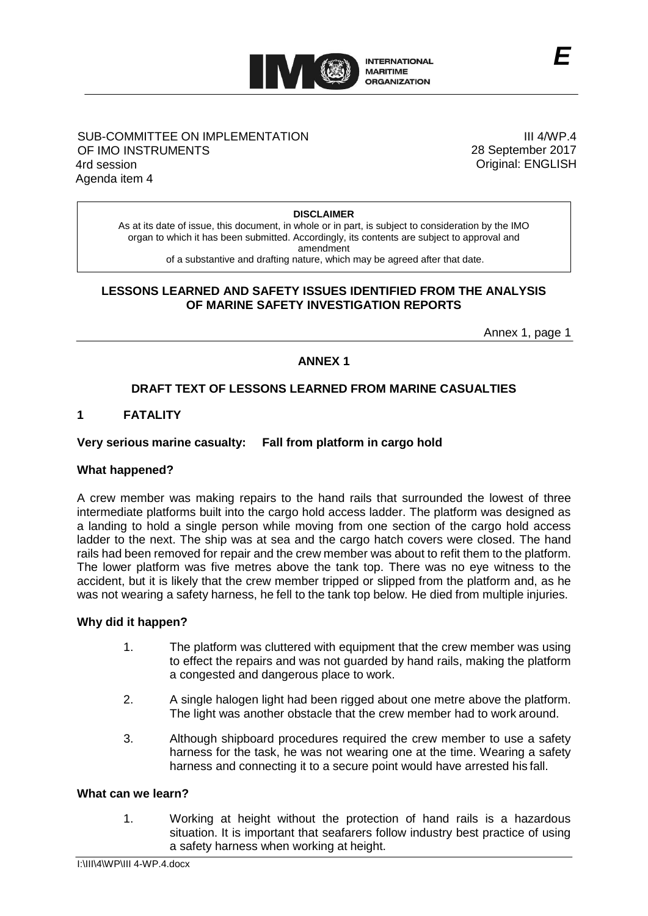

## SUB-COMMITTEE ON IMPLEMENTATION OF IMO INSTRUMENTS 4rd session Agenda item 4

III 4/WP.4 28 September 2017 Original: ENGLISH

*E*

#### **DISCLAIMER**

As at its date of issue, this document, in whole or in part, is subject to consideration by the IMO organ to which it has been submitted. Accordingly, its contents are subject to approval and amendment of a substantive and drafting nature, which may be agreed after that date.

### **LESSONS LEARNED AND SAFETY ISSUES IDENTIFIED FROM THE ANALYSIS OF MARINE SAFETY INVESTIGATION REPORTS**

Annex 1, page 1

## **ANNEX 1**

## **DRAFT TEXT OF LESSONS LEARNED FROM MARINE CASUALTIES**

### **1 FATALITY**

#### **Very serious marine casualty: Fall from platform in cargo hold**

#### **What happened?**

A crew member was making repairs to the hand rails that surrounded the lowest of three intermediate platforms built into the cargo hold access ladder. The platform was designed as a landing to hold a single person while moving from one section of the cargo hold access ladder to the next. The ship was at sea and the cargo hatch covers were closed. The hand rails had been removed for repair and the crew member was about to refit them to the platform. The lower platform was five metres above the tank top. There was no eye witness to the accident, but it is likely that the crew member tripped or slipped from the platform and, as he was not wearing a safety harness, he fell to the tank top below. He died from multiple injuries.

#### **Why did it happen?**

- 1. The platform was cluttered with equipment that the crew member was using to effect the repairs and was not guarded by hand rails, making the platform a congested and dangerous place to work.
- 2. A single halogen light had been rigged about one metre above the platform. The light was another obstacle that the crew member had to work around.
- 3. Although shipboard procedures required the crew member to use a safety harness for the task, he was not wearing one at the time. Wearing a safety harness and connecting it to a secure point would have arrested his fall.

### **What can we learn?**

1. Working at height without the protection of hand rails is a hazardous situation. It is important that seafarers follow industry best practice of using a safety harness when working at height.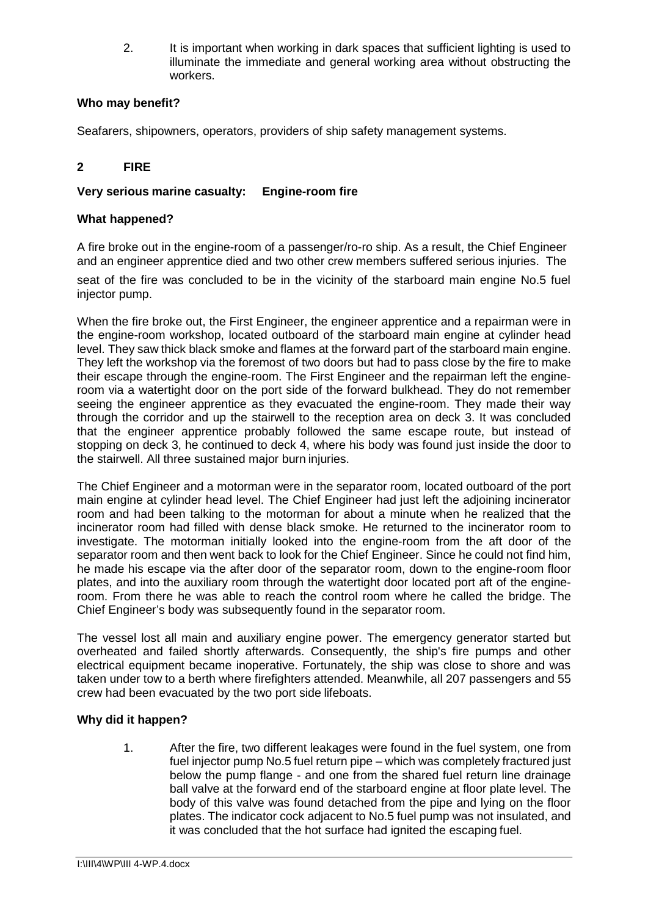2. It is important when working in dark spaces that sufficient lighting is used to illuminate the immediate and general working area without obstructing the workers.

## **Who may benefit?**

Seafarers, shipowners, operators, providers of ship safety management systems.

## **2 FIRE**

## **Very serious marine casualty: Engine-room fire**

## **What happened?**

A fire broke out in the engine-room of a passenger/ro-ro ship. As a result, the Chief Engineer and an engineer apprentice died and two other crew members suffered serious injuries. The

seat of the fire was concluded to be in the vicinity of the starboard main engine No.5 fuel injector pump.

When the fire broke out, the First Engineer, the engineer apprentice and a repairman were in the engine-room workshop, located outboard of the starboard main engine at cylinder head level. They saw thick black smoke and flames at the forward part of the starboard main engine. They left the workshop via the foremost of two doors but had to pass close by the fire to make their escape through the engine-room. The First Engineer and the repairman left the engineroom via a watertight door on the port side of the forward bulkhead. They do not remember seeing the engineer apprentice as they evacuated the engine-room. They made their way through the corridor and up the stairwell to the reception area on deck 3. It was concluded that the engineer apprentice probably followed the same escape route, but instead of stopping on deck 3, he continued to deck 4, where his body was found just inside the door to the stairwell. All three sustained major burn injuries.

The Chief Engineer and a motorman were in the separator room, located outboard of the port main engine at cylinder head level. The Chief Engineer had just left the adjoining incinerator room and had been talking to the motorman for about a minute when he realized that the incinerator room had filled with dense black smoke. He returned to the incinerator room to investigate. The motorman initially looked into the engine-room from the aft door of the separator room and then went back to look for the Chief Engineer. Since he could not find him, he made his escape via the after door of the separator room, down to the engine-room floor plates, and into the auxiliary room through the watertight door located port aft of the engineroom. From there he was able to reach the control room where he called the bridge. The Chief Engineer's body was subsequently found in the separator room.

The vessel lost all main and auxiliary engine power. The emergency generator started but overheated and failed shortly afterwards. Consequently, the ship's fire pumps and other electrical equipment became inoperative. Fortunately, the ship was close to shore and was taken under tow to a berth where firefighters attended. Meanwhile, all 207 passengers and 55 crew had been evacuated by the two port side lifeboats.

## **Why did it happen?**

1. After the fire, two different leakages were found in the fuel system, one from fuel injector pump No.5 fuel return pipe – which was completely fractured just below the pump flange - and one from the shared fuel return line drainage ball valve at the forward end of the starboard engine at floor plate level. The body of this valve was found detached from the pipe and lying on the floor plates. The indicator cock adjacent to No.5 fuel pump was not insulated, and it was concluded that the hot surface had ignited the escaping fuel.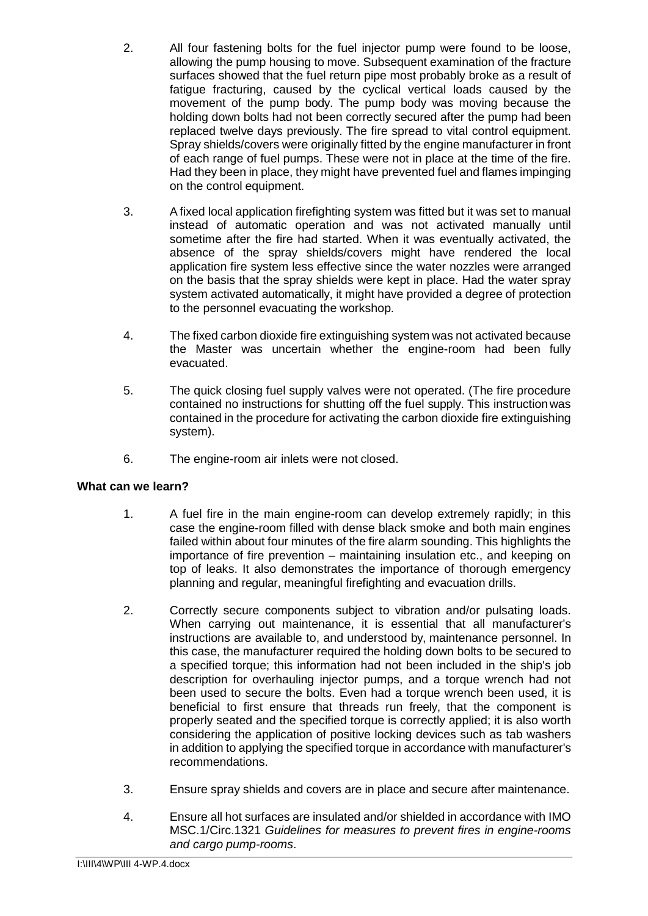- 2. All four fastening bolts for the fuel injector pump were found to be loose, allowing the pump housing to move. Subsequent examination of the fracture surfaces showed that the fuel return pipe most probably broke as a result of fatigue fracturing, caused by the cyclical vertical loads caused by the movement of the pump body. The pump body was moving because the holding down bolts had not been correctly secured after the pump had been replaced twelve days previously. The fire spread to vital control equipment. Spray shields/covers were originally fitted by the engine manufacturer in front of each range of fuel pumps. These were not in place at the time of the fire. Had they been in place, they might have prevented fuel and flames impinging on the control equipment.
- 3. A fixed local application firefighting system was fitted but it was set to manual instead of automatic operation and was not activated manually until sometime after the fire had started. When it was eventually activated, the absence of the spray shields/covers might have rendered the local application fire system less effective since the water nozzles were arranged on the basis that the spray shields were kept in place. Had the water spray system activated automatically, it might have provided a degree of protection to the personnel evacuating the workshop.
- 4. The fixed carbon dioxide fire extinguishing system was not activated because the Master was uncertain whether the engine-room had been fully evacuated.
- 5. The quick closing fuel supply valves were not operated. (The fire procedure contained no instructions for shutting off the fuel supply. This instructionwas contained in the procedure for activating the carbon dioxide fire extinguishing system).
- 6. The engine-room air inlets were not closed.

- 1. A fuel fire in the main engine-room can develop extremely rapidly; in this case the engine-room filled with dense black smoke and both main engines failed within about four minutes of the fire alarm sounding. This highlights the importance of fire prevention – maintaining insulation etc., and keeping on top of leaks. It also demonstrates the importance of thorough emergency planning and regular, meaningful firefighting and evacuation drills.
- 2. Correctly secure components subject to vibration and/or pulsating loads. When carrying out maintenance, it is essential that all manufacturer's instructions are available to, and understood by, maintenance personnel. In this case, the manufacturer required the holding down bolts to be secured to a specified torque; this information had not been included in the ship's job description for overhauling injector pumps, and a torque wrench had not been used to secure the bolts. Even had a torque wrench been used, it is beneficial to first ensure that threads run freely, that the component is properly seated and the specified torque is correctly applied; it is also worth considering the application of positive locking devices such as tab washers in addition to applying the specified torque in accordance with manufacturer's recommendations.
- 3. Ensure spray shields and covers are in place and secure after maintenance.
- 4. Ensure all hot surfaces are insulated and/or shielded in accordance with IMO MSC.1/Circ.1321 *Guidelines for measures to prevent fires in engine-rooms and cargo pump-rooms*.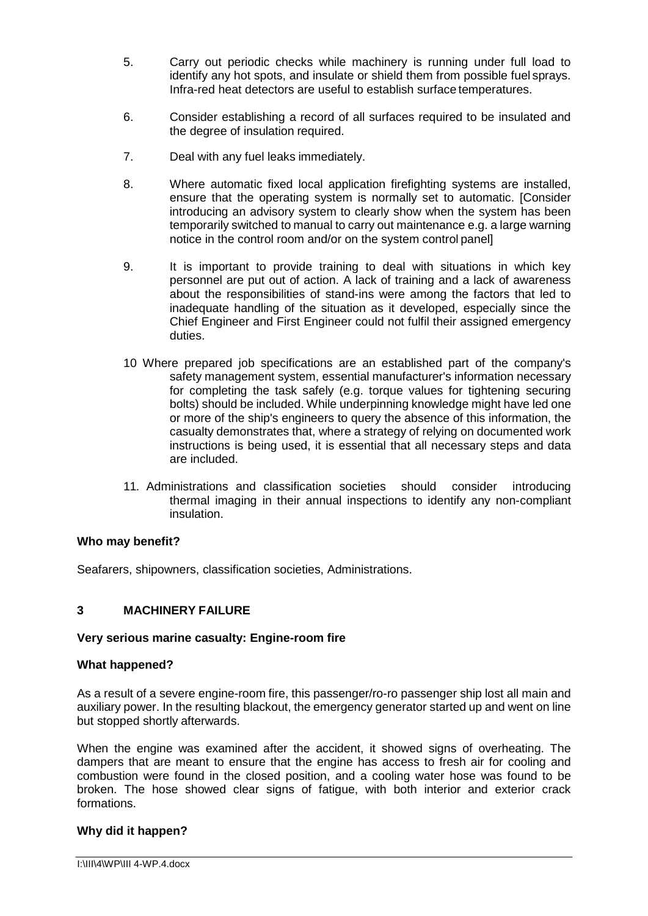- 5. Carry out periodic checks while machinery is running under full load to identify any hot spots, and insulate or shield them from possible fuel sprays. Infra-red heat detectors are useful to establish surface temperatures.
- 6. Consider establishing a record of all surfaces required to be insulated and the degree of insulation required.
- 7. Deal with any fuel leaks immediately.
- 8. Where automatic fixed local application firefighting systems are installed, ensure that the operating system is normally set to automatic. [Consider introducing an advisory system to clearly show when the system has been temporarily switched to manual to carry out maintenance e.g. a large warning notice in the control room and/or on the system control panel]
- 9. It is important to provide training to deal with situations in which key personnel are put out of action. A lack of training and a lack of awareness about the responsibilities of stand-ins were among the factors that led to inadequate handling of the situation as it developed, especially since the Chief Engineer and First Engineer could not fulfil their assigned emergency duties.
- 10 Where prepared job specifications are an established part of the company's safety management system, essential manufacturer's information necessary for completing the task safely (e.g. torque values for tightening securing bolts) should be included. While underpinning knowledge might have led one or more of the ship's engineers to query the absence of this information, the casualty demonstrates that, where a strategy of relying on documented work instructions is being used, it is essential that all necessary steps and data are included.
- 11. Administrations and classification societies should consider introducing thermal imaging in their annual inspections to identify any non-compliant insulation.

## **Who may benefit?**

Seafarers, shipowners, classification societies, Administrations.

## **3 MACHINERY FAILURE**

## **Very serious marine casualty: Engine-room fire**

#### **What happened?**

As a result of a severe engine-room fire, this passenger/ro-ro passenger ship lost all main and auxiliary power. In the resulting blackout, the emergency generator started up and went on line but stopped shortly afterwards.

When the engine was examined after the accident, it showed signs of overheating. The dampers that are meant to ensure that the engine has access to fresh air for cooling and combustion were found in the closed position, and a cooling water hose was found to be broken. The hose showed clear signs of fatigue, with both interior and exterior crack formations.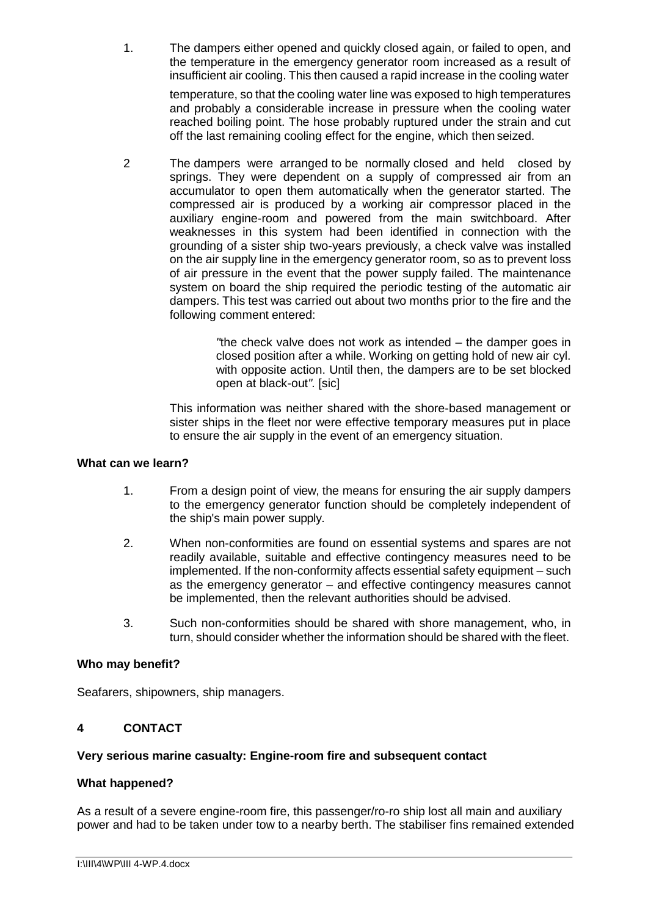1. The dampers either opened and quickly closed again, or failed to open, and the temperature in the emergency generator room increased as a result of insufficient air cooling. This then caused a rapid increase in the cooling water

> temperature, so that the cooling water line was exposed to high temperatures and probably a considerable increase in pressure when the cooling water reached boiling point. The hose probably ruptured under the strain and cut off the last remaining cooling effect for the engine, which then seized.

2 The dampers were arranged to be normally closed and held closed by springs. They were dependent on a supply of compressed air from an accumulator to open them automatically when the generator started. The compressed air is produced by a working air compressor placed in the auxiliary engine-room and powered from the main switchboard. After weaknesses in this system had been identified in connection with the grounding of a sister ship two-years previously, a check valve was installed on the air supply line in the emergency generator room, so as to prevent loss of air pressure in the event that the power supply failed. The maintenance system on board the ship required the periodic testing of the automatic air dampers. This test was carried out about two months prior to the fire and the following comment entered:

> *"*the check valve does not work as intended – the damper goes in closed position after a while. Working on getting hold of new air cyl. with opposite action. Until then, the dampers are to be set blocked open at black-out*".* [sic]

This information was neither shared with the shore-based management or sister ships in the fleet nor were effective temporary measures put in place to ensure the air supply in the event of an emergency situation.

## **What can we learn?**

- 1. From a design point of view, the means for ensuring the air supply dampers to the emergency generator function should be completely independent of the ship's main power supply.
- 2. When non-conformities are found on essential systems and spares are not readily available, suitable and effective contingency measures need to be implemented. If the non-conformity affects essential safety equipment – such as the emergency generator – and effective contingency measures cannot be implemented, then the relevant authorities should be advised.
- 3. Such non-conformities should be shared with shore management, who, in turn, should consider whether the information should be shared with the fleet.

## **Who may benefit?**

Seafarers, shipowners, ship managers.

## **4 CONTACT**

#### **Very serious marine casualty: Engine-room fire and subsequent contact**

#### **What happened?**

As a result of a severe engine-room fire, this passenger/ro-ro ship lost all main and auxiliary power and had to be taken under tow to a nearby berth. The stabiliser fins remained extended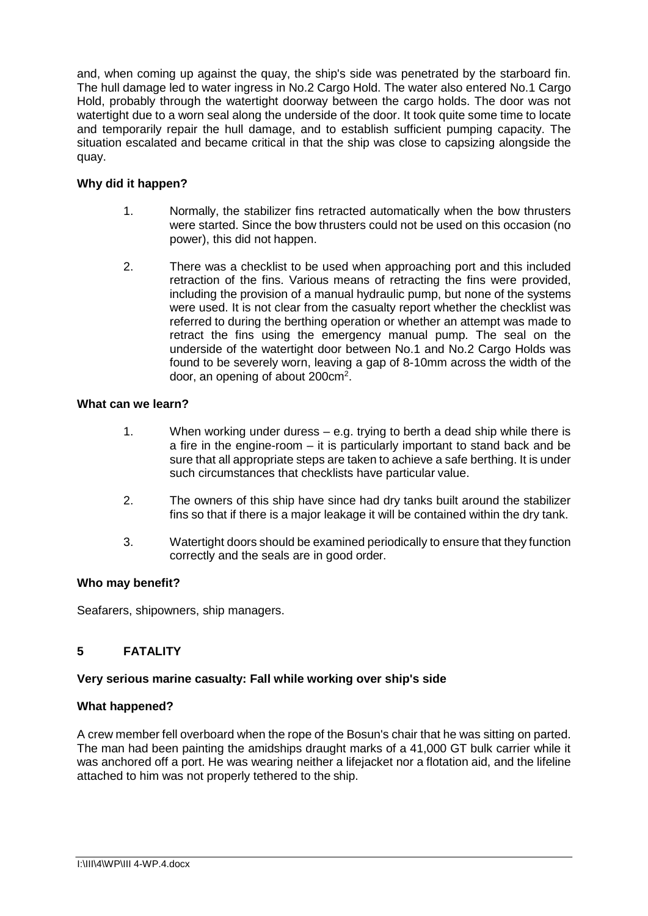and, when coming up against the quay, the ship's side was penetrated by the starboard fin. The hull damage led to water ingress in No.2 Cargo Hold. The water also entered No.1 Cargo Hold, probably through the watertight doorway between the cargo holds. The door was not watertight due to a worn seal along the underside of the door. It took quite some time to locate and temporarily repair the hull damage, and to establish sufficient pumping capacity. The situation escalated and became critical in that the ship was close to capsizing alongside the quay.

## **Why did it happen?**

- 1. Normally, the stabilizer fins retracted automatically when the bow thrusters were started. Since the bow thrusters could not be used on this occasion (no power), this did not happen.
- 2. There was a checklist to be used when approaching port and this included retraction of the fins. Various means of retracting the fins were provided, including the provision of a manual hydraulic pump, but none of the systems were used. It is not clear from the casualty report whether the checklist was referred to during the berthing operation or whether an attempt was made to retract the fins using the emergency manual pump. The seal on the underside of the watertight door between No.1 and No.2 Cargo Holds was found to be severely worn, leaving a gap of 8-10mm across the width of the door, an opening of about 200 $cm<sup>2</sup>$ .

## **What can we learn?**

- 1. When working under duress e.g. trying to berth a dead ship while there is a fire in the engine-room – it is particularly important to stand back and be sure that all appropriate steps are taken to achieve a safe berthing. It is under such circumstances that checklists have particular value.
- 2. The owners of this ship have since had dry tanks built around the stabilizer fins so that if there is a major leakage it will be contained within the dry tank.
- 3. Watertight doors should be examined periodically to ensure that they function correctly and the seals are in good order.

## **Who may benefit?**

Seafarers, shipowners, ship managers.

## **5 FATALITY**

## **Very serious marine casualty: Fall while working over ship's side**

## **What happened?**

A crew member fell overboard when the rope of the Bosun's chair that he was sitting on parted. The man had been painting the amidships draught marks of a 41,000 GT bulk carrier while it was anchored off a port. He was wearing neither a lifejacket nor a flotation aid, and the lifeline attached to him was not properly tethered to the ship.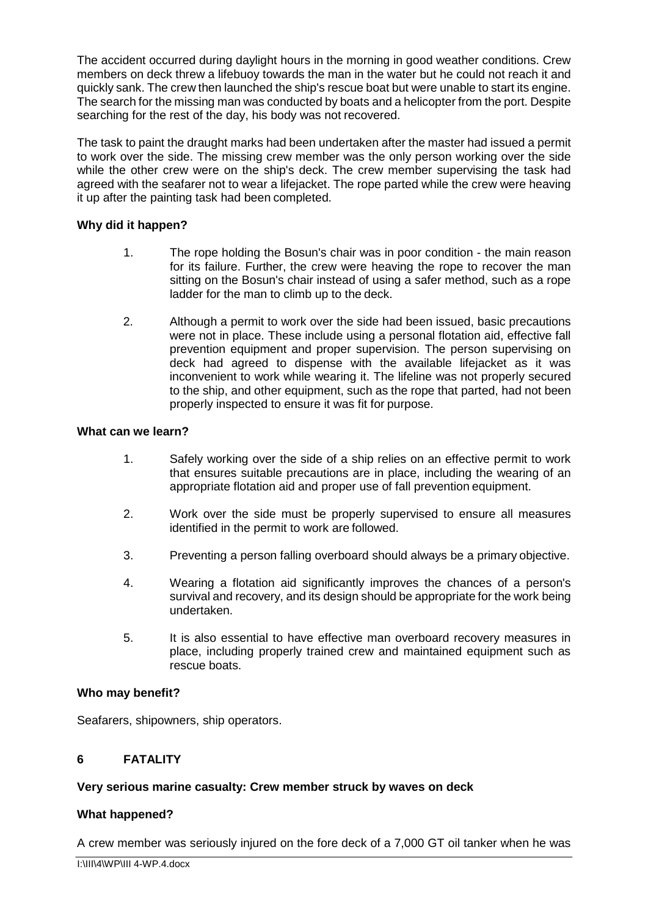The accident occurred during daylight hours in the morning in good weather conditions. Crew members on deck threw a lifebuoy towards the man in the water but he could not reach it and quickly sank. The crew then launched the ship's rescue boat but were unable to start its engine. The search for the missing man was conducted by boats and a helicopter from the port. Despite searching for the rest of the day, his body was not recovered.

The task to paint the draught marks had been undertaken after the master had issued a permit to work over the side. The missing crew member was the only person working over the side while the other crew were on the ship's deck. The crew member supervising the task had agreed with the seafarer not to wear a lifejacket. The rope parted while the crew were heaving it up after the painting task had been completed.

## **Why did it happen?**

- 1. The rope holding the Bosun's chair was in poor condition the main reason for its failure. Further, the crew were heaving the rope to recover the man sitting on the Bosun's chair instead of using a safer method, such as a rope ladder for the man to climb up to the deck.
- 2. Although a permit to work over the side had been issued, basic precautions were not in place. These include using a personal flotation aid, effective fall prevention equipment and proper supervision. The person supervising on deck had agreed to dispense with the available lifejacket as it was inconvenient to work while wearing it. The lifeline was not properly secured to the ship, and other equipment, such as the rope that parted, had not been properly inspected to ensure it was fit for purpose.

## **What can we learn?**

- 1. Safely working over the side of a ship relies on an effective permit to work that ensures suitable precautions are in place, including the wearing of an appropriate flotation aid and proper use of fall prevention equipment.
- 2. Work over the side must be properly supervised to ensure all measures identified in the permit to work are followed.
- 3. Preventing a person falling overboard should always be a primary objective.
- 4. Wearing a flotation aid significantly improves the chances of a person's survival and recovery, and its design should be appropriate for the work being undertaken.
- 5. It is also essential to have effective man overboard recovery measures in place, including properly trained crew and maintained equipment such as rescue boats.

## **Who may benefit?**

Seafarers, shipowners, ship operators.

# **6 FATALITY**

## **Very serious marine casualty: Crew member struck by waves on deck**

## **What happened?**

A crew member was seriously injured on the fore deck of a 7,000 GT oil tanker when he was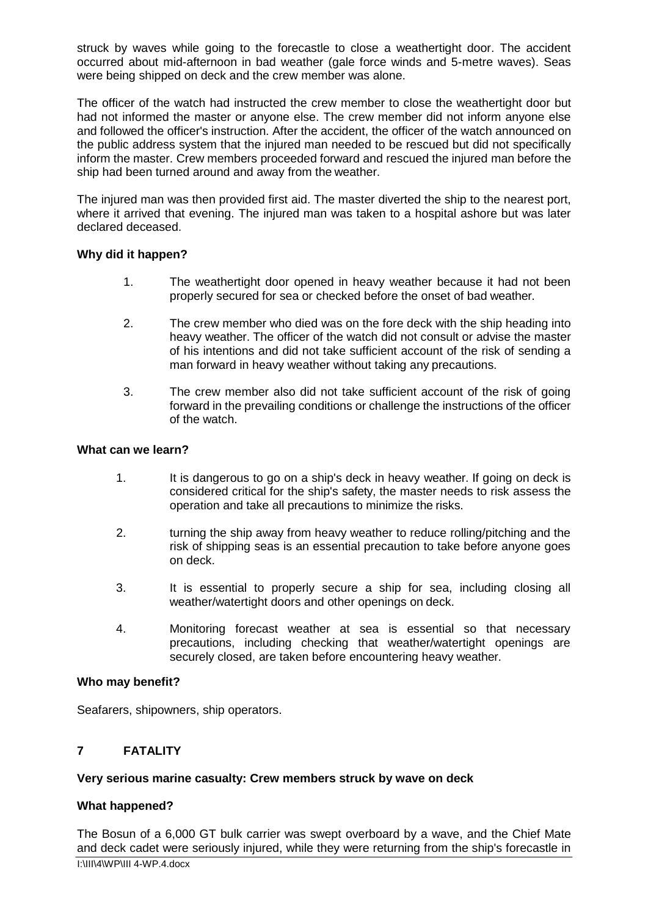struck by waves while going to the forecastle to close a weathertight door. The accident occurred about mid-afternoon in bad weather (gale force winds and 5-metre waves). Seas were being shipped on deck and the crew member was alone.

The officer of the watch had instructed the crew member to close the weathertight door but had not informed the master or anyone else. The crew member did not inform anyone else and followed the officer's instruction. After the accident, the officer of the watch announced on the public address system that the injured man needed to be rescued but did not specifically inform the master. Crew members proceeded forward and rescued the injured man before the ship had been turned around and away from the weather.

The injured man was then provided first aid. The master diverted the ship to the nearest port, where it arrived that evening. The injured man was taken to a hospital ashore but was later declared deceased.

## **Why did it happen?**

- 1. The weathertight door opened in heavy weather because it had not been properly secured for sea or checked before the onset of bad weather.
- 2. The crew member who died was on the fore deck with the ship heading into heavy weather. The officer of the watch did not consult or advise the master of his intentions and did not take sufficient account of the risk of sending a man forward in heavy weather without taking any precautions.
- 3. The crew member also did not take sufficient account of the risk of going forward in the prevailing conditions or challenge the instructions of the officer of the watch.

## **What can we learn?**

- 1. It is dangerous to go on a ship's deck in heavy weather. If going on deck is considered critical for the ship's safety, the master needs to risk assess the operation and take all precautions to minimize the risks.
- 2. turning the ship away from heavy weather to reduce rolling/pitching and the risk of shipping seas is an essential precaution to take before anyone goes on deck.
- 3. It is essential to properly secure a ship for sea, including closing all weather/watertight doors and other openings on deck.
- 4. Monitoring forecast weather at sea is essential so that necessary precautions, including checking that weather/watertight openings are securely closed, are taken before encountering heavy weather.

## **Who may benefit?**

Seafarers, shipowners, ship operators.

## **7 FATALITY**

## **Very serious marine casualty: Crew members struck by wave on deck**

## **What happened?**

I:\III\4\WP\III 4-WP.4.docx The Bosun of a 6,000 GT bulk carrier was swept overboard by a wave, and the Chief Mate and deck cadet were seriously injured, while they were returning from the ship's forecastle in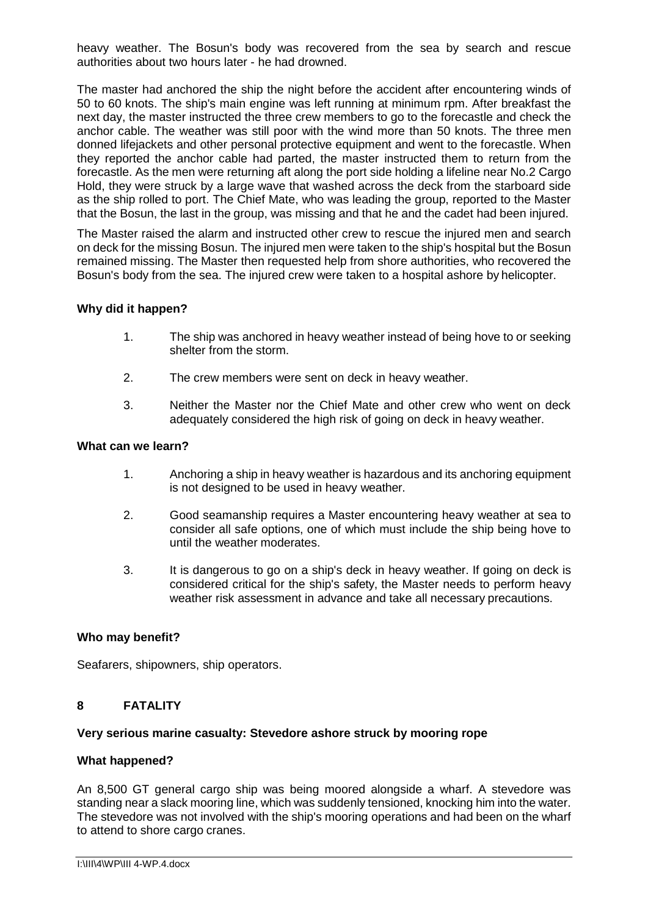heavy weather. The Bosun's body was recovered from the sea by search and rescue authorities about two hours later - he had drowned.

The master had anchored the ship the night before the accident after encountering winds of 50 to 60 knots. The ship's main engine was left running at minimum rpm. After breakfast the next day, the master instructed the three crew members to go to the forecastle and check the anchor cable. The weather was still poor with the wind more than 50 knots. The three men donned lifejackets and other personal protective equipment and went to the forecastle. When they reported the anchor cable had parted, the master instructed them to return from the forecastle. As the men were returning aft along the port side holding a lifeline near No.2 Cargo Hold, they were struck by a large wave that washed across the deck from the starboard side as the ship rolled to port. The Chief Mate, who was leading the group, reported to the Master that the Bosun, the last in the group, was missing and that he and the cadet had been injured.

The Master raised the alarm and instructed other crew to rescue the injured men and search on deck for the missing Bosun. The injured men were taken to the ship's hospital but the Bosun remained missing. The Master then requested help from shore authorities, who recovered the Bosun's body from the sea. The injured crew were taken to a hospital ashore by helicopter.

## **Why did it happen?**

- 1. The ship was anchored in heavy weather instead of being hove to or seeking shelter from the storm.
- 2. The crew members were sent on deck in heavy weather.
- 3. Neither the Master nor the Chief Mate and other crew who went on deck adequately considered the high risk of going on deck in heavy weather.

## **What can we learn?**

- 1. Anchoring a ship in heavy weather is hazardous and its anchoring equipment is not designed to be used in heavy weather.
- 2. Good seamanship requires a Master encountering heavy weather at sea to consider all safe options, one of which must include the ship being hove to until the weather moderates.
- 3. It is dangerous to go on a ship's deck in heavy weather. If going on deck is considered critical for the ship's safety, the Master needs to perform heavy weather risk assessment in advance and take all necessary precautions.

## **Who may benefit?**

Seafarers, shipowners, ship operators.

## **8 FATALITY**

#### **Very serious marine casualty: Stevedore ashore struck by mooring rope**

#### **What happened?**

An 8,500 GT general cargo ship was being moored alongside a wharf. A stevedore was standing near a slack mooring line, which was suddenly tensioned, knocking him into the water. The stevedore was not involved with the ship's mooring operations and had been on the wharf to attend to shore cargo cranes.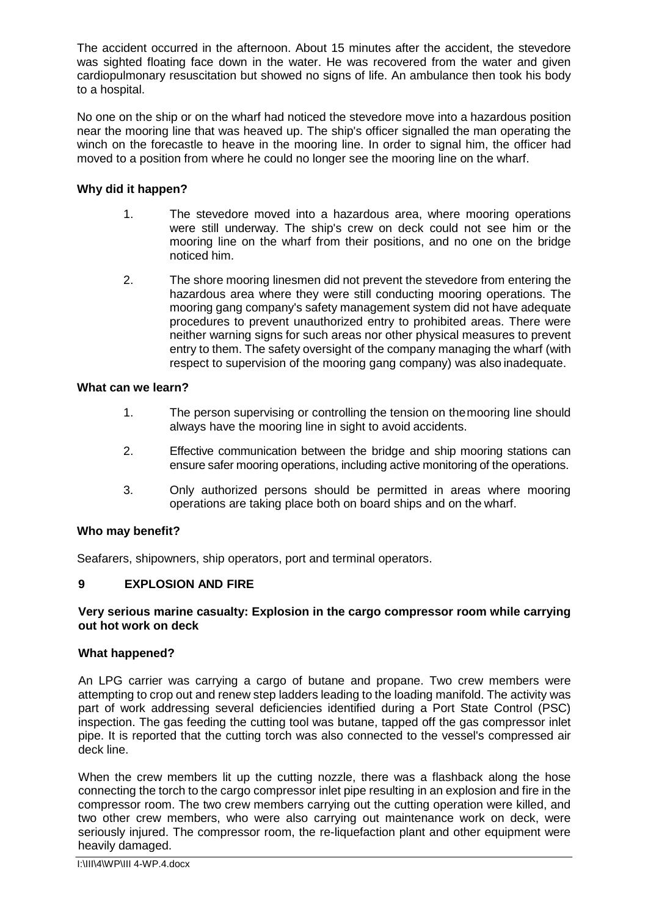The accident occurred in the afternoon. About 15 minutes after the accident, the stevedore was sighted floating face down in the water. He was recovered from the water and given cardiopulmonary resuscitation but showed no signs of life. An ambulance then took his body to a hospital.

No one on the ship or on the wharf had noticed the stevedore move into a hazardous position near the mooring line that was heaved up. The ship's officer signalled the man operating the winch on the forecastle to heave in the mooring line. In order to signal him, the officer had moved to a position from where he could no longer see the mooring line on the wharf.

## **Why did it happen?**

- 1. The stevedore moved into a hazardous area, where mooring operations were still underway. The ship's crew on deck could not see him or the mooring line on the wharf from their positions, and no one on the bridge noticed him.
- 2. The shore mooring linesmen did not prevent the stevedore from entering the hazardous area where they were still conducting mooring operations. The mooring gang company's safety management system did not have adequate procedures to prevent unauthorized entry to prohibited areas. There were neither warning signs for such areas nor other physical measures to prevent entry to them. The safety oversight of the company managing the wharf (with respect to supervision of the mooring gang company) was also inadequate.

## **What can we learn?**

- 1. The person supervising or controlling the tension on themooring line should always have the mooring line in sight to avoid accidents.
- 2. Effective communication between the bridge and ship mooring stations can ensure safer mooring operations, including active monitoring of the operations.
- 3. Only authorized persons should be permitted in areas where mooring operations are taking place both on board ships and on the wharf.

## **Who may benefit?**

Seafarers, shipowners, ship operators, port and terminal operators.

## **9 EXPLOSION AND FIRE**

### **Very serious marine casualty: Explosion in the cargo compressor room while carrying out hot work on deck**

## **What happened?**

An LPG carrier was carrying a cargo of butane and propane. Two crew members were attempting to crop out and renew step ladders leading to the loading manifold. The activity was part of work addressing several deficiencies identified during a Port State Control (PSC) inspection. The gas feeding the cutting tool was butane, tapped off the gas compressor inlet pipe. It is reported that the cutting torch was also connected to the vessel's compressed air deck line.

When the crew members lit up the cutting nozzle, there was a flashback along the hose connecting the torch to the cargo compressor inlet pipe resulting in an explosion and fire in the compressor room. The two crew members carrying out the cutting operation were killed, and two other crew members, who were also carrying out maintenance work on deck, were seriously injured. The compressor room, the re-liquefaction plant and other equipment were heavily damaged.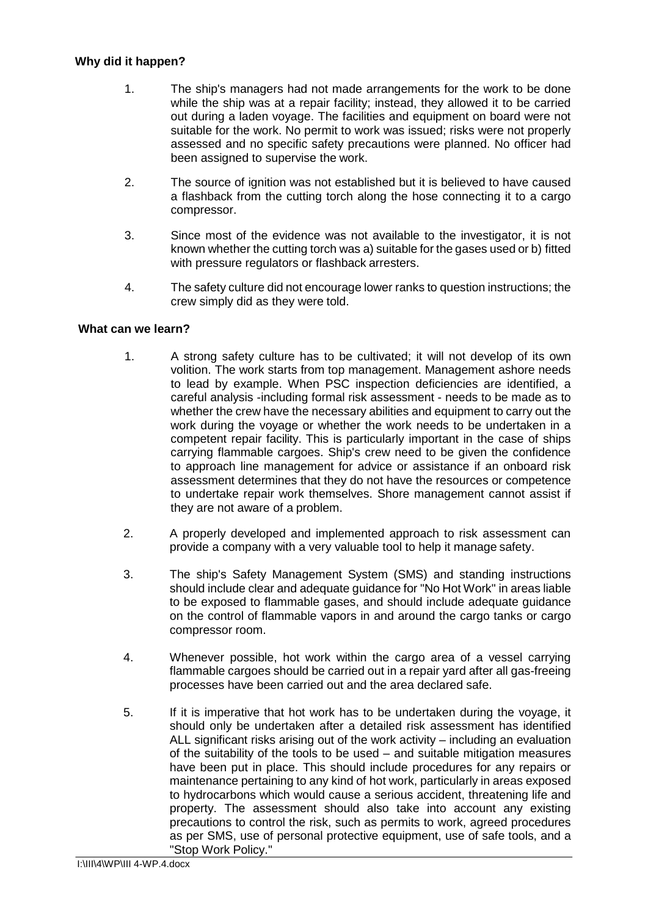## **Why did it happen?**

- 1. The ship's managers had not made arrangements for the work to be done while the ship was at a repair facility; instead, they allowed it to be carried out during a laden voyage. The facilities and equipment on board were not suitable for the work. No permit to work was issued; risks were not properly assessed and no specific safety precautions were planned. No officer had been assigned to supervise the work.
- 2. The source of ignition was not established but it is believed to have caused a flashback from the cutting torch along the hose connecting it to a cargo compressor.
- 3. Since most of the evidence was not available to the investigator, it is not known whether the cutting torch was a) suitable for the gases used or b) fitted with pressure regulators or flashback arresters.
- 4. The safety culture did not encourage lower ranks to question instructions; the crew simply did as they were told.

## **What can we learn?**

- 1. A strong safety culture has to be cultivated; it will not develop of its own volition. The work starts from top management. Management ashore needs to lead by example. When PSC inspection deficiencies are identified, a careful analysis -including formal risk assessment - needs to be made as to whether the crew have the necessary abilities and equipment to carry out the work during the voyage or whether the work needs to be undertaken in a competent repair facility. This is particularly important in the case of ships carrying flammable cargoes. Ship's crew need to be given the confidence to approach line management for advice or assistance if an onboard risk assessment determines that they do not have the resources or competence to undertake repair work themselves. Shore management cannot assist if they are not aware of a problem.
- 2. A properly developed and implemented approach to risk assessment can provide a company with a very valuable tool to help it manage safety.
- 3. The ship's Safety Management System (SMS) and standing instructions should include clear and adequate guidance for "No Hot Work" in areas liable to be exposed to flammable gases, and should include adequate guidance on the control of flammable vapors in and around the cargo tanks or cargo compressor room.
- 4. Whenever possible, hot work within the cargo area of a vessel carrying flammable cargoes should be carried out in a repair yard after all gas-freeing processes have been carried out and the area declared safe.
- 5. If it is imperative that hot work has to be undertaken during the voyage, it should only be undertaken after a detailed risk assessment has identified ALL significant risks arising out of the work activity – including an evaluation of the suitability of the tools to be used – and suitable mitigation measures have been put in place. This should include procedures for any repairs or maintenance pertaining to any kind of hot work, particularly in areas exposed to hydrocarbons which would cause a serious accident, threatening life and property. The assessment should also take into account any existing precautions to control the risk, such as permits to work, agreed procedures as per SMS, use of personal protective equipment, use of safe tools, and a "Stop Work Policy."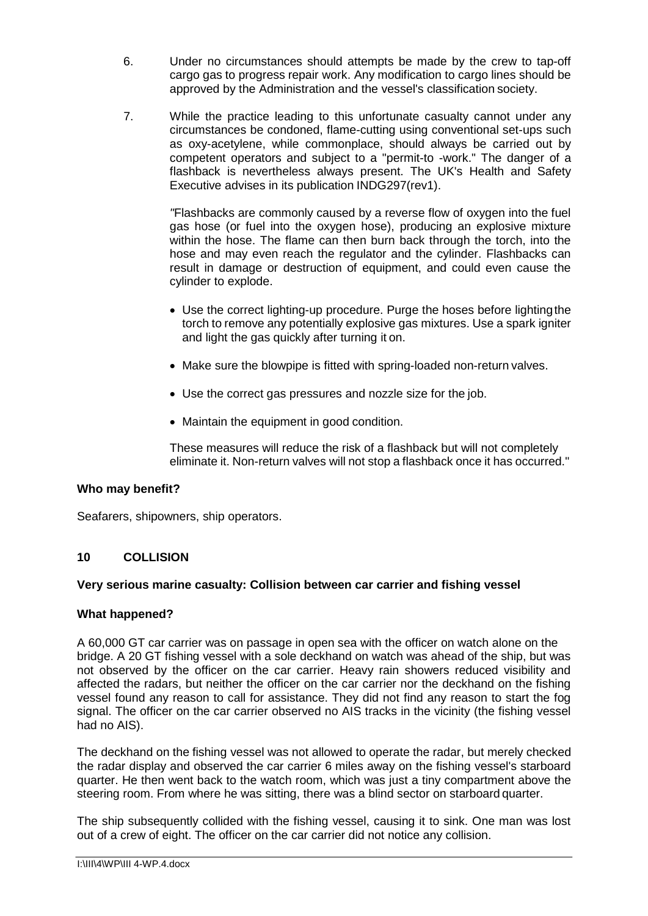- 6. Under no circumstances should attempts be made by the crew to tap-off cargo gas to progress repair work. Any modification to cargo lines should be approved by the Administration and the vessel's classification society.
- 7. While the practice leading to this unfortunate casualty cannot under any circumstances be condoned, flame-cutting using conventional set-ups such as oxy-acetylene, while commonplace, should always be carried out by competent operators and subject to a "permit-to -work." The danger of a flashback is nevertheless always present. The UK's Health and Safety Executive advises in its publication INDG297(rev1).

*"*Flashbacks are commonly caused by a reverse flow of oxygen into the fuel gas hose (or fuel into the oxygen hose), producing an explosive mixture within the hose. The flame can then burn back through the torch, into the hose and may even reach the regulator and the cylinder. Flashbacks can result in damage or destruction of equipment, and could even cause the cylinder to explode.

- Use the correct lighting-up procedure. Purge the hoses before lightingthe torch to remove any potentially explosive gas mixtures. Use a spark igniter and light the gas quickly after turning it on.
- Make sure the blowpipe is fitted with spring-loaded non-return valves.
- Use the correct gas pressures and nozzle size for the job.
- Maintain the equipment in good condition.

These measures will reduce the risk of a flashback but will not completely eliminate it. Non-return valves will not stop a flashback once it has occurred."

## **Who may benefit?**

Seafarers, shipowners, ship operators.

## **10 COLLISION**

## **Very serious marine casualty: Collision between car carrier and fishing vessel**

## **What happened?**

A 60,000 GT car carrier was on passage in open sea with the officer on watch alone on the bridge. A 20 GT fishing vessel with a sole deckhand on watch was ahead of the ship, but was not observed by the officer on the car carrier. Heavy rain showers reduced visibility and affected the radars, but neither the officer on the car carrier nor the deckhand on the fishing vessel found any reason to call for assistance. They did not find any reason to start the fog signal. The officer on the car carrier observed no AIS tracks in the vicinity (the fishing vessel had no AIS).

The deckhand on the fishing vessel was not allowed to operate the radar, but merely checked the radar display and observed the car carrier 6 miles away on the fishing vessel's starboard quarter. He then went back to the watch room, which was just a tiny compartment above the steering room. From where he was sitting, there was a blind sector on starboard quarter.

The ship subsequently collided with the fishing vessel, causing it to sink. One man was lost out of a crew of eight. The officer on the car carrier did not notice any collision.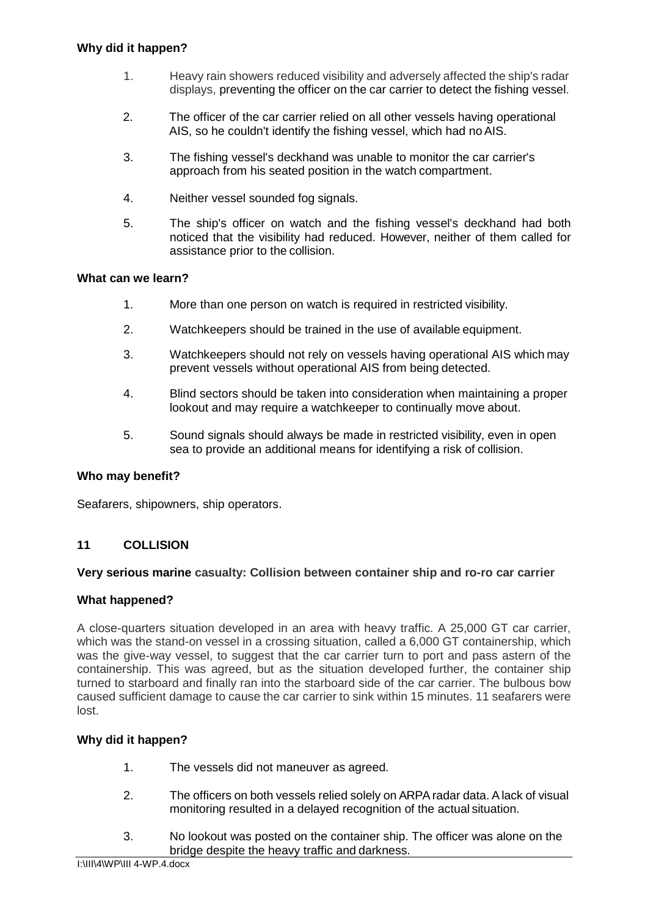- 1. Heavy rain showers reduced visibility and adversely affected the ship's radar displays, preventing the officer on the car carrier to detect the fishing vessel.
- 2. The officer of the car carrier relied on all other vessels having operational AIS, so he couldn't identify the fishing vessel, which had no AIS.
- 3. The fishing vessel's deckhand was unable to monitor the car carrier's approach from his seated position in the watch compartment.
- 4. Neither vessel sounded fog signals.
- 5. The ship's officer on watch and the fishing vessel's deckhand had both noticed that the visibility had reduced. However, neither of them called for assistance prior to the collision.

- 1. More than one person on watch is required in restricted visibility.
- 2. Watchkeepers should be trained in the use of available equipment.
- 3. Watchkeepers should not rely on vessels having operational AIS which may prevent vessels without operational AIS from being detected.
- 4. Blind sectors should be taken into consideration when maintaining a proper lookout and may require a watchkeeper to continually move about.
- 5. Sound signals should always be made in restricted visibility, even in open sea to provide an additional means for identifying a risk of collision.

## **Who may benefit?**

Seafarers, shipowners, ship operators.

## **11 COLLISION**

## **Very serious marine casualty: Collision between container ship and ro-ro car carrier**

## **What happened?**

A close-quarters situation developed in an area with heavy traffic. A 25,000 GT car carrier, which was the stand-on vessel in a crossing situation, called a 6,000 GT containership, which was the give-way vessel, to suggest that the car carrier turn to port and pass astern of the containership. This was agreed, but as the situation developed further, the container ship turned to starboard and finally ran into the starboard side of the car carrier. The bulbous bow caused sufficient damage to cause the car carrier to sink within 15 minutes. 11 seafarers were lost.

- 1. The vessels did not maneuver as agreed.
- 2. The officers on both vessels relied solely on ARPAradar data. Alack of visual monitoring resulted in a delayed recognition of the actual situation.
- 3. No lookout was posted on the container ship. The officer was alone on the bridge despite the heavy traffic and darkness.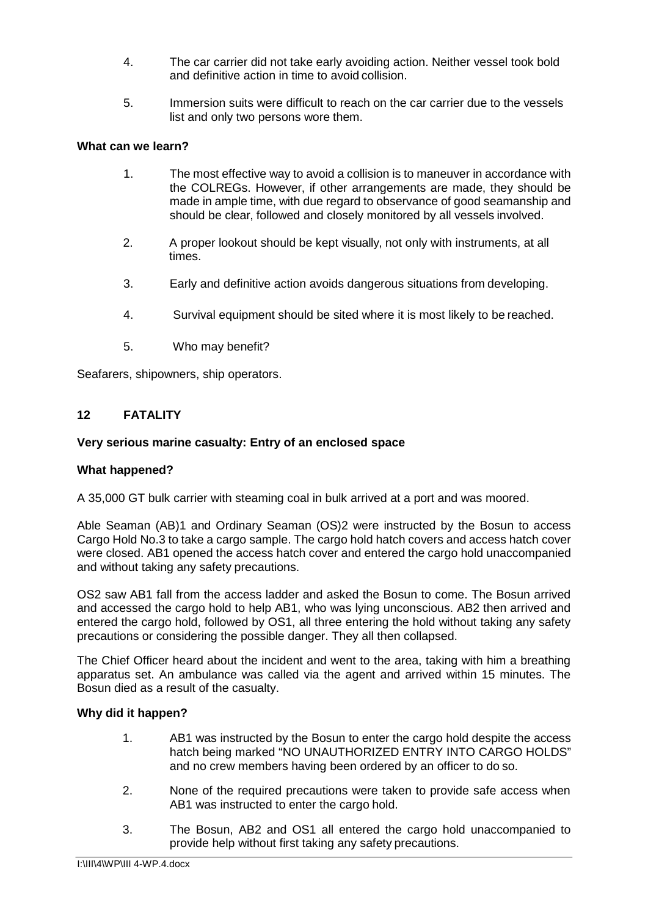- 4. The car carrier did not take early avoiding action. Neither vessel took bold and definitive action in time to avoid collision.
- 5. Immersion suits were difficult to reach on the car carrier due to the vessels list and only two persons wore them.

- 1. The most effective way to avoid a collision is to maneuver in accordance with the COLREGs. However, if other arrangements are made, they should be made in ample time, with due regard to observance of good seamanship and should be clear, followed and closely monitored by all vessels involved.
- 2. A proper lookout should be kept visually, not only with instruments, at all times.
- 3. Early and definitive action avoids dangerous situations from developing.
- 4. Survival equipment should be sited where it is most likely to be reached.
- 5. Who may benefit?

Seafarers, shipowners, ship operators.

## **12 FATALITY**

## **Very serious marine casualty: Entry of an enclosed space**

## **What happened?**

A 35,000 GT bulk carrier with steaming coal in bulk arrived at a port and was moored.

Able Seaman (AB)1 and Ordinary Seaman (OS)2 were instructed by the Bosun to access Cargo Hold No.3 to take a cargo sample. The cargo hold hatch covers and access hatch cover were closed. AB1 opened the access hatch cover and entered the cargo hold unaccompanied and without taking any safety precautions.

OS2 saw AB1 fall from the access ladder and asked the Bosun to come. The Bosun arrived and accessed the cargo hold to help AB1, who was lying unconscious. AB2 then arrived and entered the cargo hold, followed by OS1, all three entering the hold without taking any safety precautions or considering the possible danger. They all then collapsed.

The Chief Officer heard about the incident and went to the area, taking with him a breathing apparatus set. An ambulance was called via the agent and arrived within 15 minutes. The Bosun died as a result of the casualty.

- 1. AB1 was instructed by the Bosun to enter the cargo hold despite the access hatch being marked "NO UNAUTHORIZED ENTRY INTO CARGO HOLDS" and no crew members having been ordered by an officer to do so.
- 2. None of the required precautions were taken to provide safe access when AB1 was instructed to enter the cargo hold.
- 3. The Bosun, AB2 and OS1 all entered the cargo hold unaccompanied to provide help without first taking any safety precautions.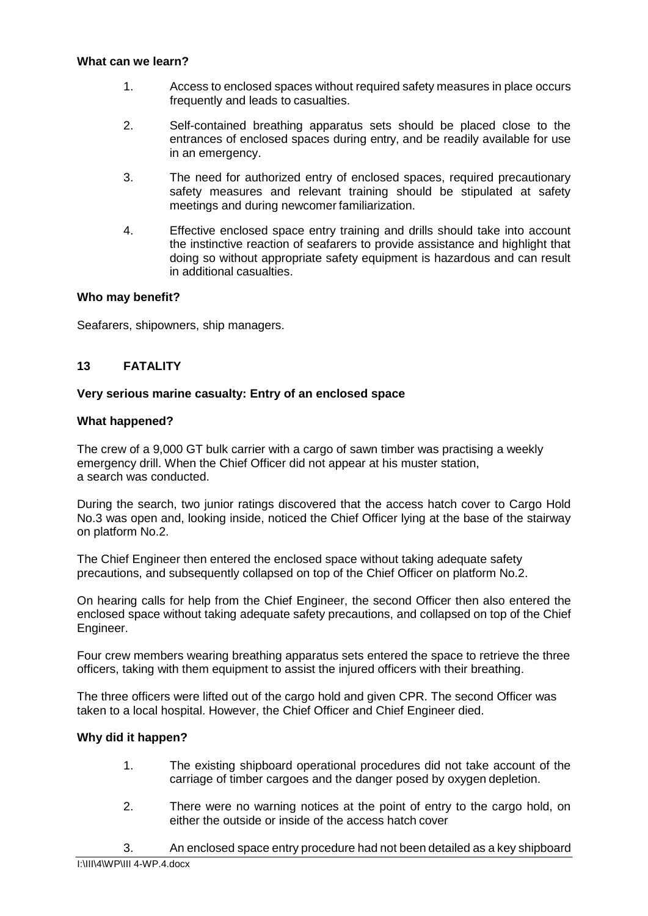- 1. Access to enclosed spaces without required safety measures in place occurs frequently and leads to casualties.
- 2. Self-contained breathing apparatus sets should be placed close to the entrances of enclosed spaces during entry, and be readily available for use in an emergency.
- 3. The need for authorized entry of enclosed spaces, required precautionary safety measures and relevant training should be stipulated at safety meetings and during newcomer familiarization.
- 4. Effective enclosed space entry training and drills should take into account the instinctive reaction of seafarers to provide assistance and highlight that doing so without appropriate safety equipment is hazardous and can result in additional casualties.

## **Who may benefit?**

Seafarers, shipowners, ship managers.

## **13 FATALITY**

## **Very serious marine casualty: Entry of an enclosed space**

## **What happened?**

The crew of a 9,000 GT bulk carrier with a cargo of sawn timber was practising a weekly emergency drill. When the Chief Officer did not appear at his muster station, a search was conducted.

During the search, two junior ratings discovered that the access hatch cover to Cargo Hold No.3 was open and, looking inside, noticed the Chief Officer lying at the base of the stairway on platform No.2.

The Chief Engineer then entered the enclosed space without taking adequate safety precautions, and subsequently collapsed on top of the Chief Officer on platform No.2.

On hearing calls for help from the Chief Engineer, the second Officer then also entered the enclosed space without taking adequate safety precautions, and collapsed on top of the Chief Engineer.

Four crew members wearing breathing apparatus sets entered the space to retrieve the three officers, taking with them equipment to assist the injured officers with their breathing.

The three officers were lifted out of the cargo hold and given CPR. The second Officer was taken to a local hospital. However, the Chief Officer and Chief Engineer died.

- 1. The existing shipboard operational procedures did not take account of the carriage of timber cargoes and the danger posed by oxygen depletion.
- 2. There were no warning notices at the point of entry to the cargo hold, on either the outside or inside of the access hatch cover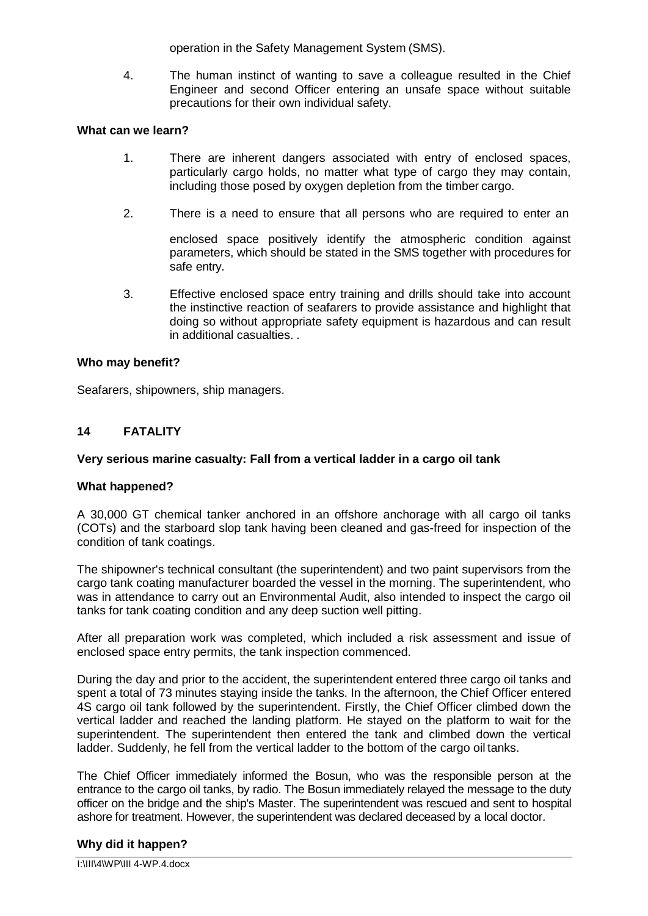operation in the Safety Management System (SMS).

4. The human instinct of wanting to save a colleague resulted in the Chief Engineer and second Officer entering an unsafe space without suitable precautions for their own individual safety.

### **What can we learn?**

- 1. There are inherent dangers associated with entry of enclosed spaces, particularly cargo holds, no matter what type of cargo they may contain, including those posed by oxygen depletion from the timber cargo.
- 2. There is a need to ensure that all persons who are required to enter an

enclosed space positively identify the atmospheric condition against parameters, which should be stated in the SMS together with procedures for safe entry.

3. Effective enclosed space entry training and drills should take into account the instinctive reaction of seafarers to provide assistance and highlight that doing so without appropriate safety equipment is hazardous and can result in additional casualties. .

### **Who may benefit?**

Seafarers, shipowners, ship managers.

### **14 FATALITY**

#### **Very serious marine casualty: Fall from a vertical ladder in a cargo oil tank**

#### **What happened?**

A 30,000 GT chemical tanker anchored in an offshore anchorage with all cargo oil tanks (COTs) and the starboard slop tank having been cleaned and gas-freed for inspection of the condition of tank coatings.

The shipowner's technical consultant (the superintendent) and two paint supervisors from the cargo tank coating manufacturer boarded the vessel in the morning. The superintendent, who was in attendance to carry out an Environmental Audit, also intended to inspect the cargo oil tanks for tank coating condition and any deep suction well pitting.

After all preparation work was completed, which included a risk assessment and issue of enclosed space entry permits, the tank inspection commenced.

During the day and prior to the accident, the superintendent entered three cargo oil tanks and spent a total of 73 minutes staying inside the tanks. In the afternoon, the Chief Officer entered 4S cargo oil tank followed by the superintendent. Firstly, the Chief Officer climbed down the vertical ladder and reached the landing platform. He stayed on the platform to wait for the superintendent. The superintendent then entered the tank and climbed down the vertical ladder. Suddenly, he fell from the vertical ladder to the bottom of the cargo oil tanks.

The Chief Officer immediately informed the Bosun, who was the responsible person at the entrance to the cargo oil tanks, by radio. The Bosun immediately relayed the message to the duty officer on the bridge and the ship's Master. The superintendent was rescued and sent to hospital ashore for treatment. However, the superintendent was declared deceased by a local doctor.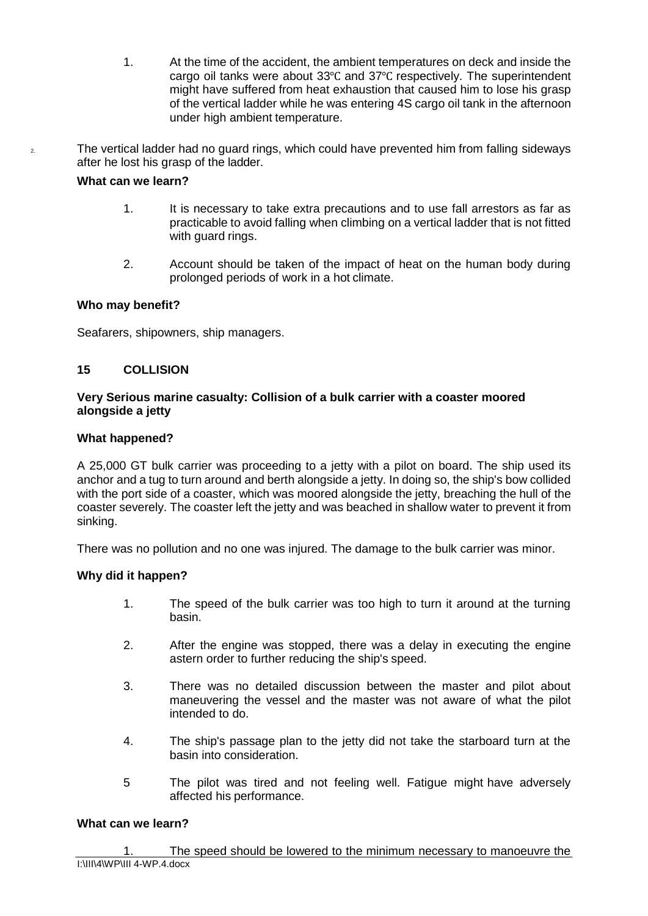- 1. At the time of the accident, the ambient temperatures on deck and inside the cargo oil tanks were about 33℃ and 37℃ respectively. The superintendent might have suffered from heat exhaustion that caused him to lose his grasp of the vertical ladder while he was entering 4S cargo oil tank in the afternoon under high ambient temperature.
- <sup>2</sup> The vertical ladder had no guard rings, which could have prevented him from falling sideways after he lost his grasp of the ladder.

- 1. It is necessary to take extra precautions and to use fall arrestors as far as practicable to avoid falling when climbing on a vertical ladder that is not fitted with guard rings.
- 2. Account should be taken of the impact of heat on the human body during prolonged periods of work in a hot climate.

## **Who may benefit?**

Seafarers, shipowners, ship managers.

## **15 COLLISION**

## **Very Serious marine casualty: Collision of a bulk carrier with a coaster moored alongside a jetty**

## **What happened?**

A 25,000 GT bulk carrier was proceeding to a jetty with a pilot on board. The ship used its anchor and a tug to turn around and berth alongside a jetty. In doing so, the ship's bow collided with the port side of a coaster, which was moored alongside the jetty, breaching the hull of the coaster severely. The coaster left the jetty and was beached in shallow water to prevent it from sinking.

There was no pollution and no one was injured. The damage to the bulk carrier was minor.

## **Why did it happen?**

- 1. The speed of the bulk carrier was too high to turn it around at the turning basin.
- 2. After the engine was stopped, there was a delay in executing the engine astern order to further reducing the ship's speed.
- 3. There was no detailed discussion between the master and pilot about maneuvering the vessel and the master was not aware of what the pilot intended to do.
- 4. The ship's passage plan to the jetty did not take the starboard turn at the basin into consideration.
- 5 The pilot was tired and not feeling well. Fatigue might have adversely affected his performance.

## **What can we learn?**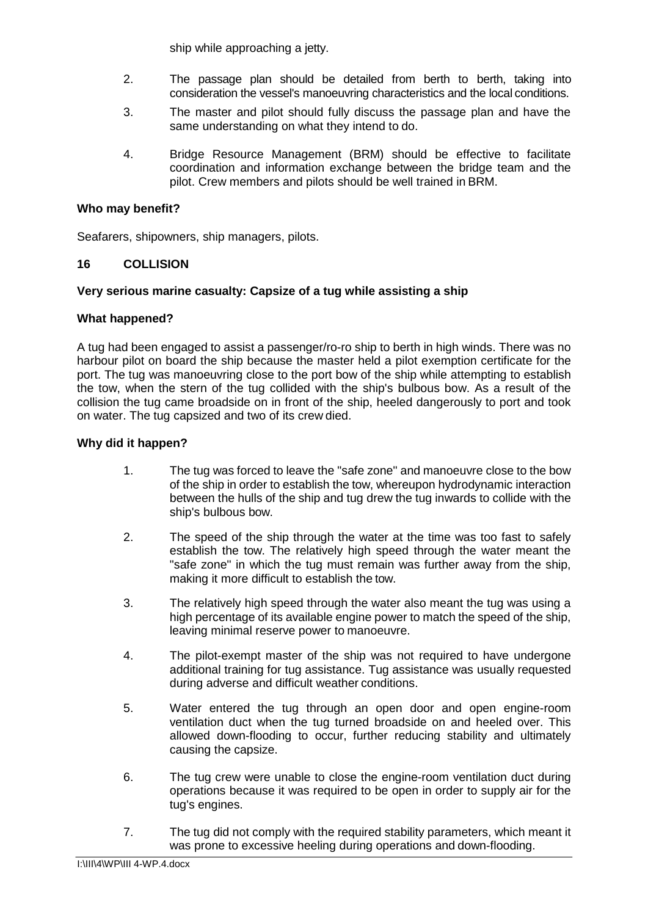ship while approaching a jetty.

- 2. The passage plan should be detailed from berth to berth, taking into consideration the vessel's manoeuvring characteristics and the local conditions.
- 3. The master and pilot should fully discuss the passage plan and have the same understanding on what they intend to do.
- 4. Bridge Resource Management (BRM) should be effective to facilitate coordination and information exchange between the bridge team and the pilot. Crew members and pilots should be well trained in BRM.

## **Who may benefit?**

Seafarers, shipowners, ship managers, pilots.

## **16 COLLISION**

## **Very serious marine casualty: Capsize of a tug while assisting a ship**

## **What happened?**

A tug had been engaged to assist a passenger/ro-ro ship to berth in high winds. There was no harbour pilot on board the ship because the master held a pilot exemption certificate for the port. The tug was manoeuvring close to the port bow of the ship while attempting to establish the tow, when the stern of the tug collided with the ship's bulbous bow. As a result of the collision the tug came broadside on in front of the ship, heeled dangerously to port and took on water. The tug capsized and two of its crew died.

- 1. The tug was forced to leave the "safe zone" and manoeuvre close to the bow of the ship in order to establish the tow, whereupon hydrodynamic interaction between the hulls of the ship and tug drew the tug inwards to collide with the ship's bulbous bow.
- 2. The speed of the ship through the water at the time was too fast to safely establish the tow. The relatively high speed through the water meant the "safe zone" in which the tug must remain was further away from the ship, making it more difficult to establish the tow.
- 3. The relatively high speed through the water also meant the tug was using a high percentage of its available engine power to match the speed of the ship, leaving minimal reserve power to manoeuvre.
- 4. The pilot-exempt master of the ship was not required to have undergone additional training for tug assistance. Tug assistance was usually requested during adverse and difficult weather conditions.
- 5. Water entered the tug through an open door and open engine-room ventilation duct when the tug turned broadside on and heeled over. This allowed down-flooding to occur, further reducing stability and ultimately causing the capsize.
- 6. The tug crew were unable to close the engine-room ventilation duct during operations because it was required to be open in order to supply air for the tug's engines.
- 7. The tug did not comply with the required stability parameters, which meant it was prone to excessive heeling during operations and down-flooding.